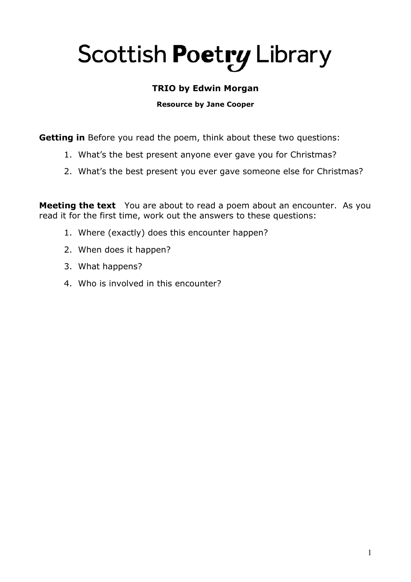# Scottish Poetry Library

## **TRIO by Edwin Morgan**

#### **Resource by Jane Cooper**

**Getting in** Before you read the poem, think about these two questions:

- 1. What's the best present anyone ever gave you for Christmas?
- 2. What's the best present you ever gave someone else for Christmas?

**Meeting the text** You are about to read a poem about an encounter. As you read it for the first time, work out the answers to these questions:

- 1. Where (exactly) does this encounter happen?
- 2. When does it happen?
- 3. What happens?
- 4. Who is involved in this encounter?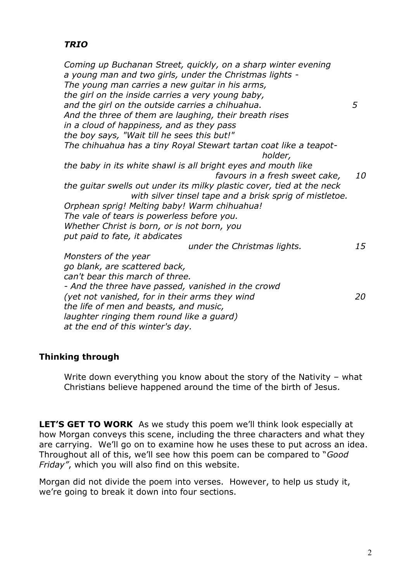## *TRIO*

*Coming up Buchanan Street, quickly, on a sharp winter evening a young man and two girls, under the Christmas lights - The young man carries a new guitar in his arms, the girl on the inside carries a very young baby, and the girl on the outside carries a chihuahua. 5 And the three of them are laughing, their breath rises in a cloud of happiness, and as they pass the boy says, "Wait till he sees this but!" The chihuahua has a tiny Royal Stewart tartan coat like a teapot holder, the baby in its white shawl is all bright eyes and mouth like favours in a fresh sweet cake, 10 the guitar swells out under its milky plastic cover, tied at the neck with silver tinsel tape and a brisk sprig of mistletoe. Orphean sprig! Melting baby! Warm chihuahua! The vale of tears is powerless before you. Whether Christ is born, or is not born, you put paid to fate, it abdicates under the Christmas lights. 15 Monsters of the year go blank, are scattered back, can't bear this march of three. - And the three have passed, vanished in the crowd (yet not vanished, for in their arms they wind 20 the life of men and beasts, and music, laughter ringing them round like a guard) at the end of this winter's day.*

#### **Thinking through**

Write down everything you know about the story of the Nativity – what Christians believe happened around the time of the birth of Jesus.

**LET'S GET TO WORK** As we study this poem we'll think look especially at how Morgan conveys this scene, including the three characters and what they are carrying. We'll go on to examine how he uses these to put across an idea. Throughout all of this, we'll see how this poem can be compared to "*Good Friday"*, which you will also find on this website.

Morgan did not divide the poem into verses. However, to help us study it, we're going to break it down into four sections.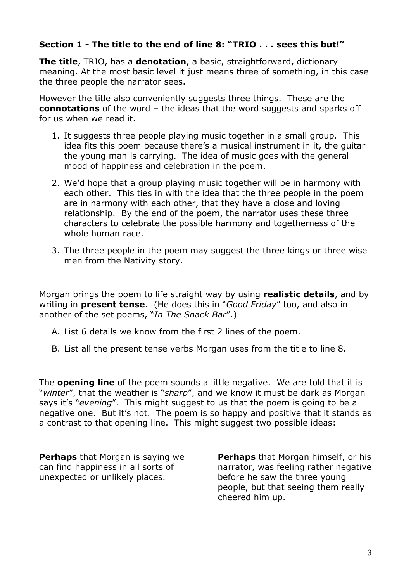#### **Section 1 - The title to the end of line 8: "TRIO . . . sees this but!"**

**The title**, TRIO, has a **denotation**, a basic, straightforward, dictionary meaning. At the most basic level it just means three of something, in this case the three people the narrator sees.

However the title also conveniently suggests three things. These are the **connotations** of the word – the ideas that the word suggests and sparks off for us when we read it.

- 1. It suggests three people playing music together in a small group. This idea fits this poem because there's a musical instrument in it, the guitar the young man is carrying. The idea of music goes with the general mood of happiness and celebration in the poem.
- 2. We'd hope that a group playing music together will be in harmony with each other. This ties in with the idea that the three people in the poem are in harmony with each other, that they have a close and loving relationship. By the end of the poem, the narrator uses these three characters to celebrate the possible harmony and togetherness of the whole human race.
- 3. The three people in the poem may suggest the three kings or three wise men from the Nativity story.

Morgan brings the poem to life straight way by using **realistic details**, and by writing in **present tense**. (He does this in "*Good Friday*" too, and also in another of the set poems, "*In The Snack Bar*".)

- A. List 6 details we know from the first 2 lines of the poem.
- B. List all the present tense verbs Morgan uses from the title to line 8.

The **opening line** of the poem sounds a little negative. We are told that it is "*winter*", that the weather is "*sharp*", and we know it must be dark as Morgan says it's "*evening*". This might suggest to us that the poem is going to be a negative one. But it's not. The poem is so happy and positive that it stands as a contrast to that opening line. This might suggest two possible ideas:

**Perhaps** that Morgan is saying we can find happiness in all sorts of unexpected or unlikely places.

**Perhaps** that Morgan himself, or his narrator, was feeling rather negative before he saw the three young people, but that seeing them really cheered him up.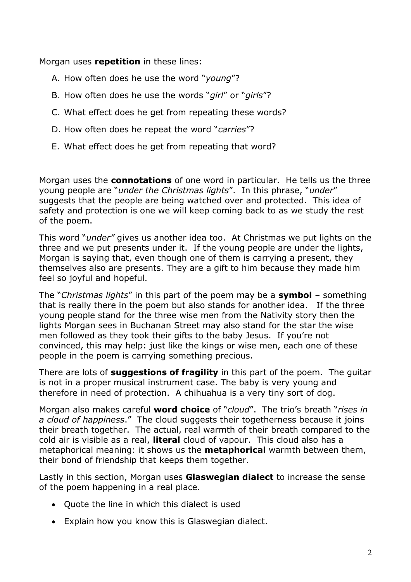Morgan uses **repetition** in these lines:

- A. How often does he use the word "*young*"?
- B. How often does he use the words "*girl*" or "*girls*"?
- C. What effect does he get from repeating these words?
- D. How often does he repeat the word "*carries*"?
- E. What effect does he get from repeating that word?

Morgan uses the **connotations** of one word in particular. He tells us the three young people are "*under the Christmas lights*". In this phrase, "*under*" suggests that the people are being watched over and protected. This idea of safety and protection is one we will keep coming back to as we study the rest of the poem.

This word "*under"* gives us another idea too. At Christmas we put lights on the three and we put presents under it. If the young people are under the lights, Morgan is saying that, even though one of them is carrying a present, they themselves also are presents. They are a gift to him because they made him feel so joyful and hopeful.

The "*Christmas lights*" in this part of the poem may be a **symbol** – something that is really there in the poem but also stands for another idea. If the three young people stand for the three wise men from the Nativity story then the lights Morgan sees in Buchanan Street may also stand for the star the wise men followed as they took their gifts to the baby Jesus. If you're not convinced, this may help: just like the kings or wise men, each one of these people in the poem is carrying something precious.

There are lots of **suggestions of fragility** in this part of the poem. The guitar is not in a proper musical instrument case. The baby is very young and therefore in need of protection. A chihuahua is a very tiny sort of dog.

Morgan also makes careful **word choice** of "*cloud*". The trio's breath "*rises in a cloud of happiness*." The cloud suggests their togetherness because it joins their breath together. The actual, real warmth of their breath compared to the cold air is visible as a real, **literal** cloud of vapour. This cloud also has a metaphorical meaning: it shows us the **metaphorical** warmth between them, their bond of friendship that keeps them together.

Lastly in this section, Morgan uses **Glaswegian dialect** to increase the sense of the poem happening in a real place.

- Quote the line in which this dialect is used
- Explain how you know this is Glaswegian dialect.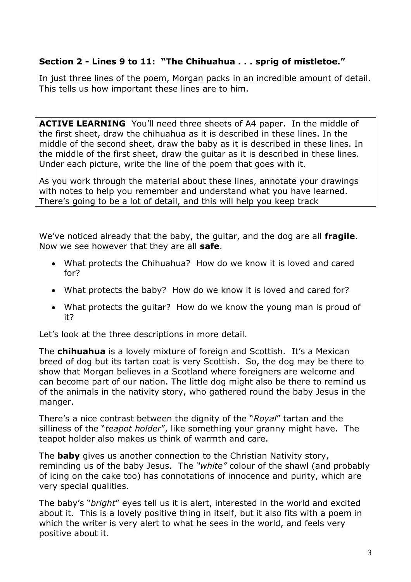## **Section 2 - Lines 9 to 11: "The Chihuahua . . . sprig of mistletoe."**

In just three lines of the poem, Morgan packs in an incredible amount of detail. This tells us how important these lines are to him.

**ACTIVE LEARNING** You'll need three sheets of A4 paper. In the middle of the first sheet, draw the chihuahua as it is described in these lines. In the middle of the second sheet, draw the baby as it is described in these lines. In the middle of the first sheet, draw the guitar as it is described in these lines. Under each picture, write the line of the poem that goes with it.

As you work through the material about these lines, annotate your drawings with notes to help you remember and understand what you have learned. There's going to be a lot of detail, and this will help you keep track

We've noticed already that the baby, the guitar, and the dog are all **fragile**. Now we see however that they are all **safe**.

- What protects the Chihuahua? How do we know it is loved and cared for?
- What protects the baby? How do we know it is loved and cared for?
- What protects the guitar? How do we know the young man is proud of it?

Let's look at the three descriptions in more detail.

The **chihuahua** is a lovely mixture of foreign and Scottish. It's a Mexican breed of dog but its tartan coat is very Scottish. So, the dog may be there to show that Morgan believes in a Scotland where foreigners are welcome and can become part of our nation. The little dog might also be there to remind us of the animals in the nativity story, who gathered round the baby Jesus in the manger.

There's a nice contrast between the dignity of the "*Royal*" tartan and the silliness of the "*teapot holder*", like something your granny might have. The teapot holder also makes us think of warmth and care.

The **baby** gives us another connection to the Christian Nativity story, reminding us of the baby Jesus. The *"white"* colour of the shawl (and probably of icing on the cake too) has connotations of innocence and purity, which are very special qualities.

The baby's "*bright*" eyes tell us it is alert, interested in the world and excited about it. This is a lovely positive thing in itself, but it also fits with a poem in which the writer is very alert to what he sees in the world, and feels very positive about it.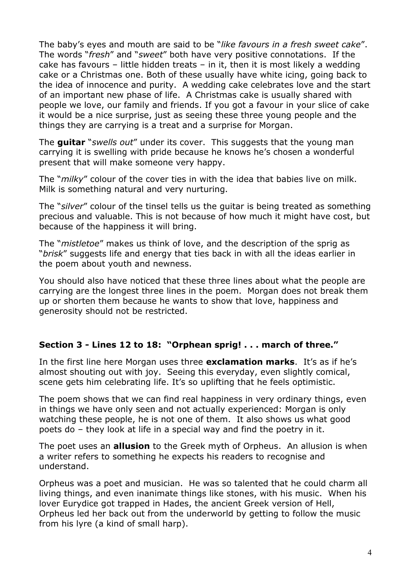The baby's eyes and mouth are said to be "*like favours in a fresh sweet cake*". The words "*fresh*" and "*sweet*" both have very positive connotations. If the cake has favours – little hidden treats – in it, then it is most likely a wedding cake or a Christmas one. Both of these usually have white icing, going back to the idea of innocence and purity. A wedding cake celebrates love and the start of an important new phase of life. A Christmas cake is usually shared with people we love, our family and friends. If you got a favour in your slice of cake it would be a nice surprise, just as seeing these three young people and the things they are carrying is a treat and a surprise for Morgan.

The **guitar** "*swells out*" under its cover. This suggests that the young man carrying it is swelling with pride because he knows he's chosen a wonderful present that will make someone very happy.

The "*milky*" colour of the cover ties in with the idea that babies live on milk. Milk is something natural and very nurturing.

The "*silver*" colour of the tinsel tells us the guitar is being treated as something precious and valuable. This is not because of how much it might have cost, but because of the happiness it will bring.

The "*mistletoe*" makes us think of love, and the description of the sprig as "*brisk*" suggests life and energy that ties back in with all the ideas earlier in the poem about youth and newness.

You should also have noticed that these three lines about what the people are carrying are the longest three lines in the poem. Morgan does not break them up or shorten them because he wants to show that love, happiness and generosity should not be restricted.

#### **Section 3 - Lines 12 to 18: "Orphean sprig! . . . march of three."**

In the first line here Morgan uses three **exclamation marks**. It's as if he's almost shouting out with joy. Seeing this everyday, even slightly comical, scene gets him celebrating life. It's so uplifting that he feels optimistic.

The poem shows that we can find real happiness in very ordinary things, even in things we have only seen and not actually experienced: Morgan is only watching these people, he is not one of them. It also shows us what good poets do – they look at life in a special way and find the poetry in it.

The poet uses an **allusion** to the Greek myth of Orpheus. An allusion is when a writer refers to something he expects his readers to recognise and understand.

Orpheus was a poet and musician. He was so talented that he could charm all living things, and even inanimate things like stones, with his music. When his lover Eurydice got trapped in Hades, the ancient Greek version of Hell, Orpheus led her back out from the underworld by getting to follow the music from his lyre (a kind of small harp).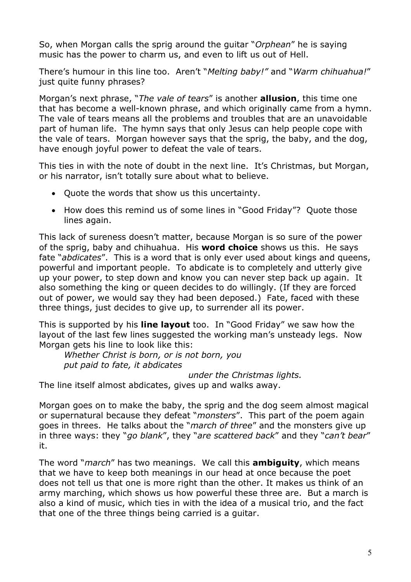So, when Morgan calls the sprig around the guitar "*Orphean*" he is saying music has the power to charm us, and even to lift us out of Hell.

There's humour in this line too. Aren't "*Melting baby!"* and "*Warm chihuahua!*" just quite funny phrases?

Morgan's next phrase, "*The vale of tears*" is another **allusion**, this time one that has become a well-known phrase, and which originally came from a hymn. The vale of tears means all the problems and troubles that are an unavoidable part of human life. The hymn says that only Jesus can help people cope with the vale of tears. Morgan however says that the sprig, the baby, and the dog, have enough joyful power to defeat the vale of tears.

This ties in with the note of doubt in the next line. It's Christmas, but Morgan, or his narrator, isn't totally sure about what to believe.

- Ouote the words that show us this uncertainty.
- How does this remind us of some lines in "Good Friday"? Quote those lines again.

This lack of sureness doesn't matter, because Morgan is so sure of the power of the sprig, baby and chihuahua. His **word choice** shows us this. He says fate "*abdicates*". This is a word that is only ever used about kings and queens, powerful and important people. To abdicate is to completely and utterly give up your power, to step down and know you can never step back up again. It also something the king or queen decides to do willingly. (If they are forced out of power, we would say they had been deposed.) Fate, faced with these three things, just decides to give up, to surrender all its power.

This is supported by his **line layout** too. In "Good Friday" we saw how the layout of the last few lines suggested the working man's unsteady legs. Now Morgan gets his line to look like this:

*Whether Christ is born, or is not born, you put paid to fate, it abdicates* 

*under the Christmas lights.*

The line itself almost abdicates, gives up and walks away.

Morgan goes on to make the baby, the sprig and the dog seem almost magical or supernatural because they defeat "*monsters*". This part of the poem again goes in threes. He talks about the "*march of three*" and the monsters give up in three ways: they "*go blank*", they "*are scattered back*" and they "*can't bear*" it.

The word "*march*" has two meanings. We call this **ambiguity**, which means that we have to keep both meanings in our head at once because the poet does not tell us that one is more right than the other. It makes us think of an army marching, which shows us how powerful these three are. But a march is also a kind of music, which ties in with the idea of a musical trio, and the fact that one of the three things being carried is a guitar.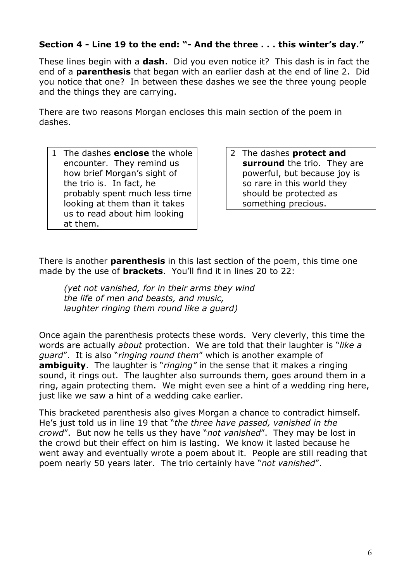### **Section 4 - Line 19 to the end: "- And the three . . . this winter's day."**

These lines begin with a **dash**. Did you even notice it? This dash is in fact the end of a **parenthesis** that began with an earlier dash at the end of line 2. Did you notice that one? In between these dashes we see the three young people and the things they are carrying.

There are two reasons Morgan encloses this main section of the poem in dashes.

- 1 The dashes **enclose** the whole encounter. They remind us how brief Morgan's sight of the trio is. In fact, he probably spent much less time looking at them than it takes us to read about him looking at them.
- 2 The dashes **protect and surround** the trio. They are powerful, but because joy is so rare in this world they should be protected as something precious.

There is another **parenthesis** in this last section of the poem, this time one made by the use of **brackets**. You'll find it in lines 20 to 22:

*(yet not vanished, for in their arms they wind the life of men and beasts, and music, laughter ringing them round like a guard)*

Once again the parenthesis protects these words. Very cleverly, this time the words are actually *about* protection. We are told that their laughter is "*like a guard*". It is also "*ringing round them*" which is another example of **ambiguity**. The laughter is "*ringing"* in the sense that it makes a ringing sound, it rings out. The laughter also surrounds them, goes around them in a ring, again protecting them. We might even see a hint of a wedding ring here, just like we saw a hint of a wedding cake earlier.

This bracketed parenthesis also gives Morgan a chance to contradict himself. He's just told us in line 19 that "*the three have passed, vanished in the crowd*". But now he tells us they have "*not vanished*". They may be lost in the crowd but their effect on him is lasting. We know it lasted because he went away and eventually wrote a poem about it. People are still reading that poem nearly 50 years later. The trio certainly have "*not vanished*".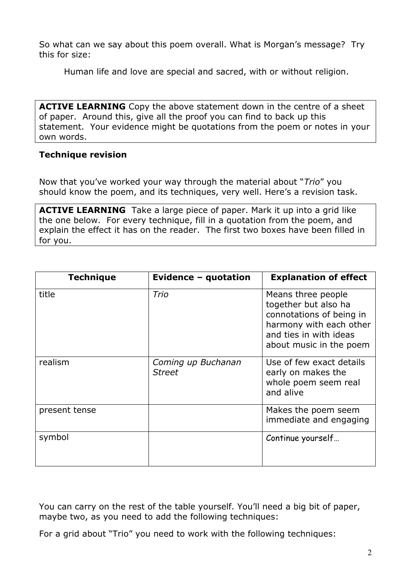So what can we say about this poem overall. What is Morgan's message? Try this for size:

Human life and love are special and sacred, with or without religion.

**ACTIVE LEARNING** Copy the above statement down in the centre of a sheet of paper. Around this, give all the proof you can find to back up this statement. Your evidence might be quotations from the poem or notes in your own words.

#### **Technique revision**

Now that you've worked your way through the material about "*Trio*" you should know the poem, and its techniques, very well. Here's a revision task.

**ACTIVE LEARNING** Take a large piece of paper. Mark it up into a grid like the one below. For every technique, fill in a quotation from the poem, and explain the effect it has on the reader. The first two boxes have been filled in for you.

| <b>Technique</b> | Evidence - quotation                | <b>Explanation of effect</b>                                                                                                                           |
|------------------|-------------------------------------|--------------------------------------------------------------------------------------------------------------------------------------------------------|
| title            | Trio                                | Means three people<br>together but also ha<br>connotations of being in<br>harmony with each other<br>and ties in with ideas<br>about music in the poem |
| realism          | Coming up Buchanan<br><b>Street</b> | Use of few exact details<br>early on makes the<br>whole poem seem real<br>and alive                                                                    |
| present tense    |                                     | Makes the poem seem<br>immediate and engaging                                                                                                          |
| symbol           |                                     | Continue yourself                                                                                                                                      |

You can carry on the rest of the table yourself. You'll need a big bit of paper, maybe two, as you need to add the following techniques:

For a grid about "Trio" you need to work with the following techniques: